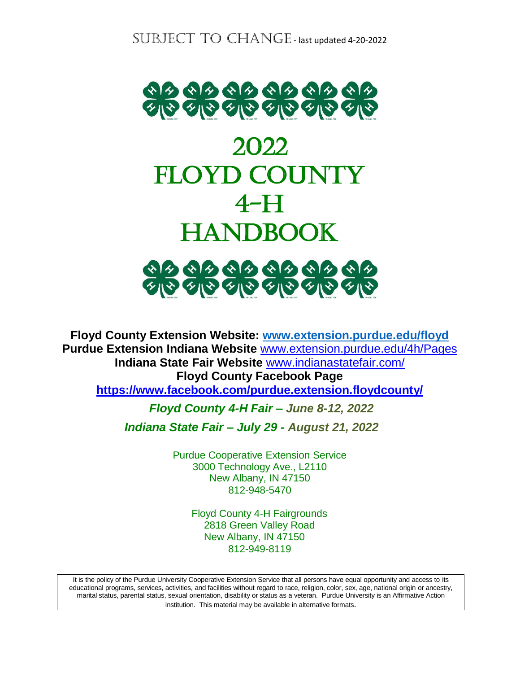

# 2022 FLOYD COUNTY 4-H HANDBOOK



**Floyd County Extension Website: [www.extension.purdue.edu/floyd](http://www.extension.purdue.edu/floyd) Purdue Extension Indiana Website** [www.extension.purdue.edu/4h/Pages](http://www.extension.purdue.edu/4h/Pages) **Indiana State Fair Website** [www.indianastatefair.com/](http://www.indianastatefair.com/) **Floyd County Facebook Page <https://www.facebook.com/purdue.extension.floydcounty/>**

*Floyd County 4-H Fair – June 8-12, 2022*

 *Indiana State Fair – July 29 - August 21, 2022*

Purdue Cooperative Extension Service 3000 Technology Ave., L2110 New Albany, IN 47150 812-948-5470

> Floyd County 4-H Fairgrounds 2818 Green Valley Road New Albany, IN 47150 812-949-8119

It is the policy of the Purdue University Cooperative Extension Service that all persons have equal opportunity and access to its educational programs, services, activities, and facilities without regard to race, religion, color, sex, age, national origin or ancestry, marital status, parental status, sexual orientation, disability or status as a veteran. Purdue University is an Affirmative Action institution. This material may be available in alternative formats.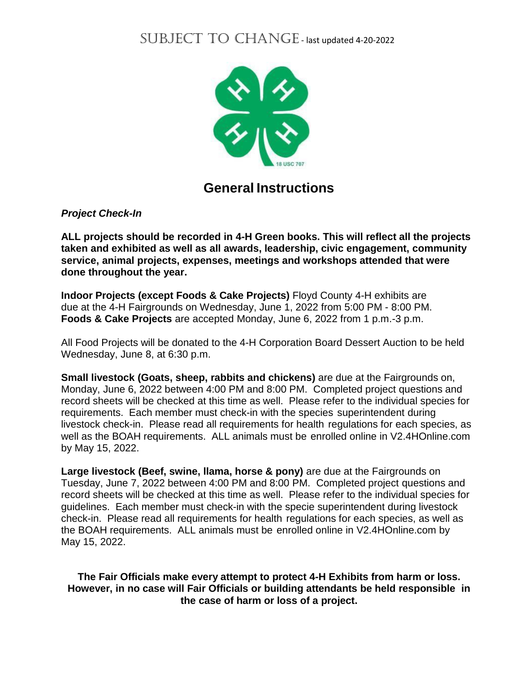

### **General Instructions**

*Project Check-In*

**ALL projects should be recorded in 4-H Green books. This will reflect all the projects taken and exhibited as well as all awards, leadership, civic engagement, community service, animal projects, expenses, meetings and workshops attended that were done throughout the year.** 

**Indoor Projects (except Foods & Cake Projects)** Floyd County 4-H exhibits are due at the 4-H Fairgrounds on Wednesday, June 1, 2022 from 5:00 PM - 8:00 PM. **Foods & Cake Projects** are accepted Monday, June 6, 2022 from 1 p.m.-3 p.m.

All Food Projects will be donated to the 4-H Corporation Board Dessert Auction to be held Wednesday, June 8, at 6:30 p.m.

**Small livestock (Goats, sheep, rabbits and chickens)** are due at the Fairgrounds on, Monday, June 6, 2022 between 4:00 PM and 8:00 PM. Completed project questions and record sheets will be checked at this time as well. Please refer to the individual species for requirements. Each member must check-in with the species superintendent during livestock check-in. Please read all requirements for health regulations for each species, as well as the BOAH requirements. ALL animals must be enrolled online in V2.4HOnline.com by May 15, 2022.

**Large livestock (Beef, swine, llama, horse & pony)** are due at the Fairgrounds on Tuesday, June 7, 2022 between 4:00 PM and 8:00 PM. Completed project questions and record sheets will be checked at this time as well. Please refer to the individual species for guidelines. Each member must check-in with the specie superintendent during livestock check-in. Please read all requirements for health regulations for each species, as well as the BOAH requirements. ALL animals must be enrolled online in V2.4HOnline.com by May 15, 2022.

**The Fair Officials make every attempt to protect 4-H Exhibits from harm or loss. However, in no case will Fair Officials or building attendants be held responsible in the case of harm or loss of a project.**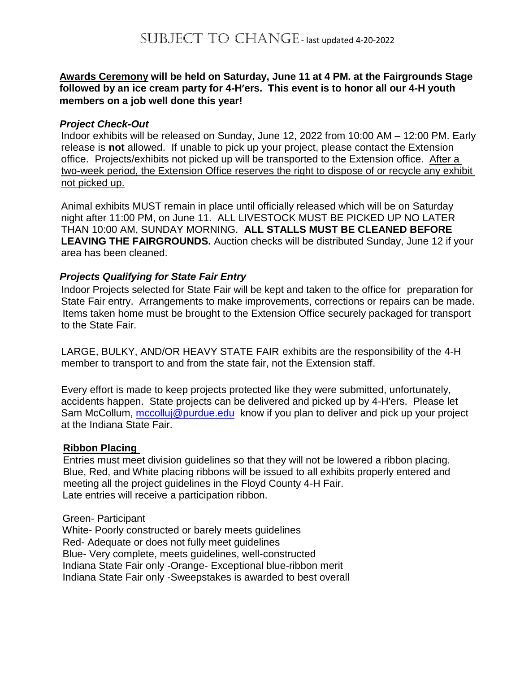#### **Awards Ceremony will be held on Saturday, June 11 at 4 PM. at the Fairgrounds Stage followed by an ice cream party for 4-H'ers. This event is to honor all our 4-H youth members on a job well done this year!**

#### *Project Check-Out*

Indoor exhibits will be released on Sunday, June 12, 2022 from 10:00 AM – 12:00 PM. Early release is **not** allowed. If unable to pick up your project, please contact the Extension office. Projects/exhibits not picked up will be transported to the Extension office. After a two-week period, the Extension Office reserves the right to dispose of or recycle any exhibit not picked up.

Animal exhibits MUST remain in place until officially released which will be on Saturday night after 11:00 PM, on June 11. ALL LIVESTOCK MUST BE PICKED UP NO LATER THAN 10:00 AM, SUNDAY MORNING. **ALL STALLS MUST BE CLEANED BEFORE LEAVING THE FAIRGROUNDS.** Auction checks will be distributed Sunday, June 12 if your area has been cleaned.

#### *Projects Qualifying for State Fair Entry*

Indoor Projects selected for State Fair will be kept and taken to the office for preparation for State Fair entry. Arrangements to make improvements, corrections or repairs can be made. Items taken home must be brought to the Extension Office securely packaged for transport to the State Fair.

LARGE, BULKY, AND/OR HEAVY STATE FAIR exhibits are the responsibility of the 4-H member to transport to and from the state fair, not the Extension staff.

Every effort is made to keep projects protected like they were submitted, unfortunately, accidents happen. State projects can be delivered and picked up by 4-H'ers. Please let Sam McCollum, [mccolluj@purdue.edu](mailto:mccolluj@purdue.edu) know if you plan to deliver and pick up your project at the Indiana State Fair.

#### **Ribbon Placing**

Entries must meet division guidelines so that they will not be lowered a ribbon placing. Blue, Red, and White placing ribbons will be issued to all exhibits properly entered and meeting all the project guidelines in the Floyd County 4-H Fair. Late entries will receive a participation ribbon.

#### Green- Participant

 White- Poorly constructed or barely meets guidelines Red- Adequate or does not fully meet guidelines Blue- Very complete, meets guidelines, well-constructed Indiana State Fair only -Orange- Exceptional blue-ribbon merit Indiana State Fair only -Sweepstakes is awarded to best overall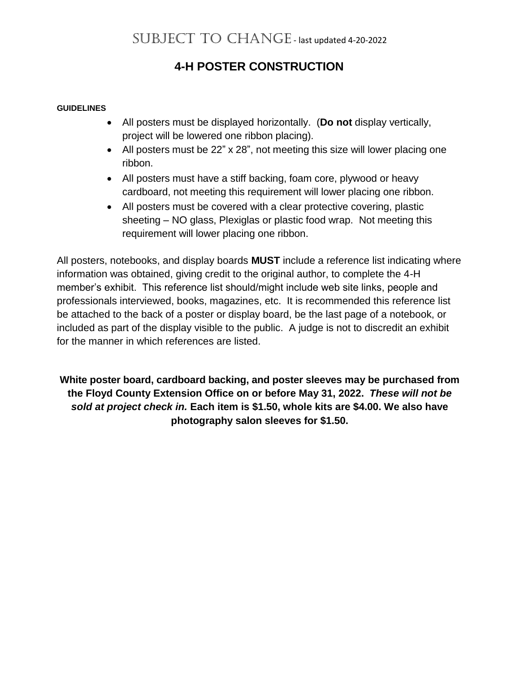### **4-H POSTER CONSTRUCTION**

#### **GUIDELINES**

- All posters must be displayed horizontally. (**Do not** display vertically, project will be lowered one ribbon placing).
- All posters must be 22" x 28", not meeting this size will lower placing one ribbon.
- All posters must have a stiff backing, foam core, plywood or heavy cardboard, not meeting this requirement will lower placing one ribbon.
- All posters must be covered with a clear protective covering, plastic sheeting – NO glass, Plexiglas or plastic food wrap. Not meeting this requirement will lower placing one ribbon.

All posters, notebooks, and display boards **MUST** include a reference list indicating where information was obtained, giving credit to the original author, to complete the 4-H member's exhibit. This reference list should/might include web site links, people and professionals interviewed, books, magazines, etc. It is recommended this reference list be attached to the back of a poster or display board, be the last page of a notebook, or included as part of the display visible to the public. A judge is not to discredit an exhibit for the manner in which references are listed.

**White poster board, cardboard backing, and poster sleeves may be purchased from the Floyd County Extension Office on or before May 31, 2022.** *These will not be sold at project check in.* **Each item is \$1.50, whole kits are \$4.00. We also have photography salon sleeves for \$1.50.**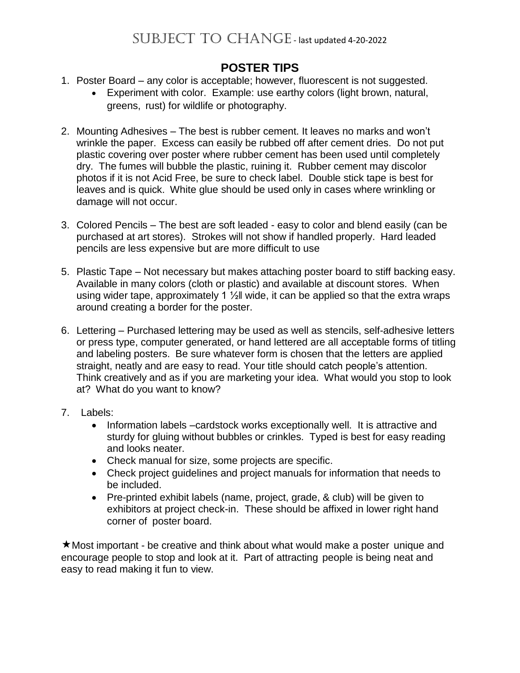### **POSTER TIPS**

- 1. Poster Board any color is acceptable; however, fluorescent is not suggested.
	- Experiment with color. Example: use earthy colors (light brown, natural, greens, rust) for wildlife or photography.
- 2. Mounting Adhesives The best is rubber cement. It leaves no marks and won't wrinkle the paper. Excess can easily be rubbed off after cement dries. Do not put plastic covering over poster where rubber cement has been used until completely dry. The fumes will bubble the plastic, ruining it. Rubber cement may discolor photos if it is not Acid Free, be sure to check label. Double stick tape is best for leaves and is quick. White glue should be used only in cases where wrinkling or damage will not occur.
- 3. Colored Pencils The best are soft leaded easy to color and blend easily (can be purchased at art stores). Strokes will not show if handled properly. Hard leaded pencils are less expensive but are more difficult to use
- 5. Plastic Tape Not necessary but makes attaching poster board to stiff backing easy. Available in many colors (cloth or plastic) and available at discount stores. When using wider tape, approximately 1  $\frac{1}{2}$  wide, it can be applied so that the extra wraps around creating a border for the poster.
- 6. Lettering Purchased lettering may be used as well as stencils, self-adhesive letters or press type, computer generated, or hand lettered are all acceptable forms of titling and labeling posters. Be sure whatever form is chosen that the letters are applied straight, neatly and are easy to read. Your title should catch people's attention. Think creatively and as if you are marketing your idea. What would you stop to look at? What do you want to know?
- 7. Labels:
	- Information labels –cardstock works exceptionally well. It is attractive and sturdy for gluing without bubbles or crinkles. Typed is best for easy reading and looks neater.
	- Check manual for size, some projects are specific.
	- Check project guidelines and project manuals for information that needs to be included.
	- Pre-printed exhibit labels (name, project, grade, & club) will be given to exhibitors at project check-in. These should be affixed in lower right hand corner of poster board.

Most important - be creative and think about what would make a poster unique and encourage people to stop and look at it. Part of attracting people is being neat and easy to read making it fun to view.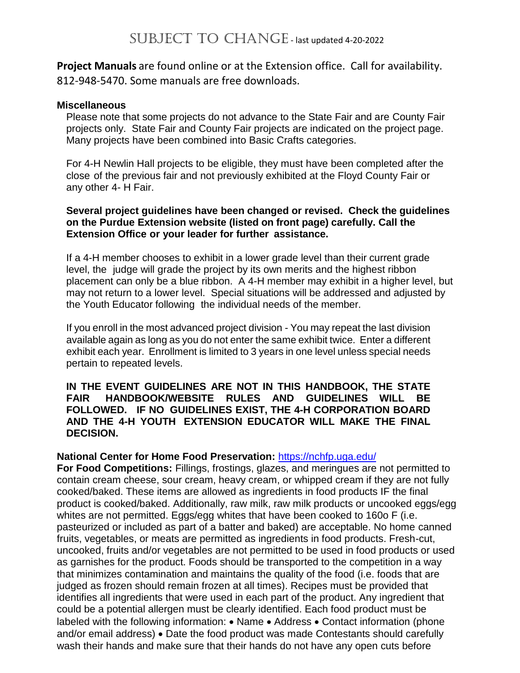**Project Manuals** are found online or at the Extension office. Call for availability. 812-948-5470. Some manuals are free downloads.

#### **Miscellaneous**

Please note that some projects do not advance to the State Fair and are County Fair projects only. State Fair and County Fair projects are indicated on the project page. Many projects have been combined into Basic Crafts categories.

For 4-H Newlin Hall projects to be eligible, they must have been completed after the close of the previous fair and not previously exhibited at the Floyd County Fair or any other 4- H Fair.

#### **Several project guidelines have been changed or revised. Check the guidelines on the Purdue Extension website (listed on front page) carefully. Call the Extension Office or your leader for further assistance.**

If a 4-H member chooses to exhibit in a lower grade level than their current grade level, the judge will grade the project by its own merits and the highest ribbon placement can only be a blue ribbon. A 4-H member may exhibit in a higher level, but may not return to a lower level. Special situations will be addressed and adjusted by the Youth Educator following the individual needs of the member.

If you enroll in the most advanced project division - You may repeat the last division available again as long as you do not enter the same exhibit twice. Enter a different exhibit each year. Enrollment is limited to 3 years in one level unless special needs pertain to repeated levels.

#### **IN THE EVENT GUIDELINES ARE NOT IN THIS HANDBOOK, THE STATE FAIR HANDBOOK/WEBSITE RULES AND GUIDELINES WILL BE FOLLOWED. IF NO GUIDELINES EXIST, THE 4-H CORPORATION BOARD AND THE 4-H YOUTH EXTENSION EDUCATOR WILL MAKE THE FINAL DECISION.**

#### **National Center for Home Food Preservation:** <https://nchfp.uga.edu/>

**For Food Competitions:** Fillings, frostings, glazes, and meringues are not permitted to contain cream cheese, sour cream, heavy cream, or whipped cream if they are not fully cooked/baked. These items are allowed as ingredients in food products IF the final product is cooked/baked. Additionally, raw milk, raw milk products or uncooked eggs/egg whites are not permitted. Eggs/egg whites that have been cooked to 160o F (i.e. pasteurized or included as part of a batter and baked) are acceptable. No home canned fruits, vegetables, or meats are permitted as ingredients in food products. Fresh-cut, uncooked, fruits and/or vegetables are not permitted to be used in food products or used as garnishes for the product. Foods should be transported to the competition in a way that minimizes contamination and maintains the quality of the food (i.e. foods that are judged as frozen should remain frozen at all times). Recipes must be provided that identifies all ingredients that were used in each part of the product. Any ingredient that could be a potential allergen must be clearly identified. Each food product must be labeled with the following information: • Name • Address • Contact information (phone and/or email address) • Date the food product was made Contestants should carefully wash their hands and make sure that their hands do not have any open cuts before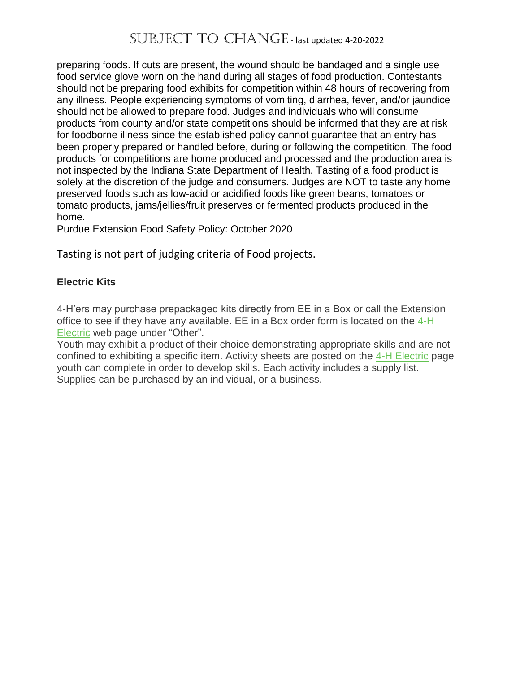preparing foods. If cuts are present, the wound should be bandaged and a single use food service glove worn on the hand during all stages of food production. Contestants should not be preparing food exhibits for competition within 48 hours of recovering from any illness. People experiencing symptoms of vomiting, diarrhea, fever, and/or jaundice should not be allowed to prepare food. Judges and individuals who will consume products from county and/or state competitions should be informed that they are at risk for foodborne illness since the established policy cannot guarantee that an entry has been properly prepared or handled before, during or following the competition. The food products for competitions are home produced and processed and the production area is not inspected by the Indiana State Department of Health. Tasting of a food product is solely at the discretion of the judge and consumers. Judges are NOT to taste any home preserved foods such as low-acid or acidified foods like green beans, tomatoes or tomato products, jams/jellies/fruit preserves or fermented products produced in the home.

Purdue Extension Food Safety Policy: October 2020

Tasting is not part of judging criteria of Food projects.

#### **Electric Kits**

4-H'ers may purchase prepackaged kits directly from EE in a Box or call the Extension office to see if they have any available. EE in a Box order form is located on the  $4-H$ [Electric](https://extension.purdue.edu/4-H/projects/4-h-project-electric.html) web page under "Other".

Youth may exhibit a product of their choice demonstrating appropriate skills and are not confined to exhibiting a specific item. Activity sheets are posted on the 4-H [Electric](https://extension.purdue.edu/4-H/projects/4-h-project-electric.html) page youth can complete in order to develop skills. Each activity includes a supply list. Supplies can be purchased by an individual, or a business.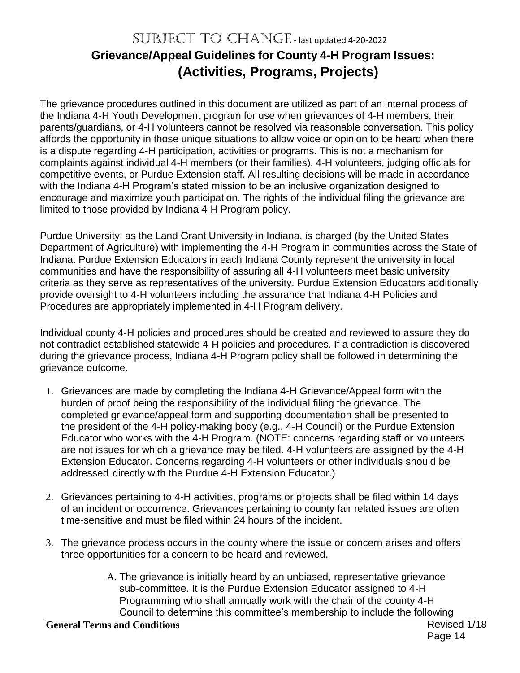# SUBJECT TO CHANGE - last updated 4-20-2022 **Grievance/Appeal Guidelines for County 4-H Program Issues: (Activities, Programs, Projects)**

The grievance procedures outlined in this document are utilized as part of an internal process of the Indiana 4-H Youth Development program for use when grievances of 4-H members, their parents/guardians, or 4-H volunteers cannot be resolved via reasonable conversation. This policy affords the opportunity in those unique situations to allow voice or opinion to be heard when there is a dispute regarding 4-H participation, activities or programs. This is not a mechanism for complaints against individual 4-H members (or their families), 4-H volunteers, judging officials for competitive events, or Purdue Extension staff. All resulting decisions will be made in accordance with the Indiana 4-H Program's stated mission to be an inclusive organization designed to encourage and maximize youth participation. The rights of the individual filing the grievance are limited to those provided by Indiana 4-H Program policy.

Purdue University, as the Land Grant University in Indiana, is charged (by the United States Department of Agriculture) with implementing the 4-H Program in communities across the State of Indiana. Purdue Extension Educators in each Indiana County represent the university in local communities and have the responsibility of assuring all 4-H volunteers meet basic university criteria as they serve as representatives of the university. Purdue Extension Educators additionally provide oversight to 4-H volunteers including the assurance that Indiana 4-H Policies and Procedures are appropriately implemented in 4-H Program delivery.

Individual county 4-H policies and procedures should be created and reviewed to assure they do not contradict established statewide 4-H policies and procedures. If a contradiction is discovered during the grievance process, Indiana 4-H Program policy shall be followed in determining the grievance outcome.

- 1. Grievances are made by completing the Indiana 4-H Grievance/Appeal form with the burden of proof being the responsibility of the individual filing the grievance. The completed grievance/appeal form and supporting documentation shall be presented to the president of the 4-H policy-making body (e.g., 4-H Council) or the Purdue Extension Educator who works with the 4-H Program. (NOTE: concerns regarding staff or volunteers are not issues for which a grievance may be filed. 4-H volunteers are assigned by the 4-H Extension Educator. Concerns regarding 4-H volunteers or other individuals should be addressed directly with the Purdue 4-H Extension Educator.)
- 2. Grievances pertaining to 4-H activities, programs or projects shall be filed within 14 days of an incident or occurrence. Grievances pertaining to county fair related issues are often time-sensitive and must be filed within 24 hours of the incident.
- 3. The grievance process occurs in the county where the issue or concern arises and offers three opportunities for a concern to be heard and reviewed.
	- A. The grievance is initially heard by an unbiased, representative grievance sub-committee. It is the Purdue Extension Educator assigned to 4-H Programming who shall annually work with the chair of the county 4-H Council to determine this committee's membership to include the following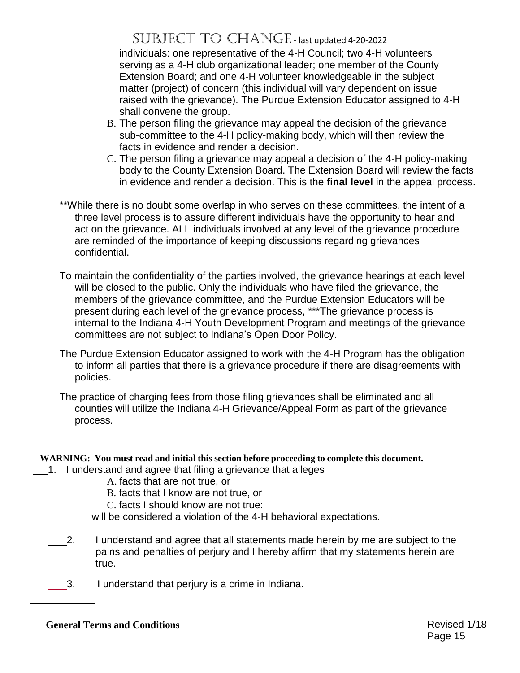individuals: one representative of the 4-H Council; two 4-H volunteers serving as a 4-H club organizational leader; one member of the County Extension Board; and one 4-H volunteer knowledgeable in the subject matter (project) of concern (this individual will vary dependent on issue raised with the grievance). The Purdue Extension Educator assigned to 4-H shall convene the group.

- B. The person filing the grievance may appeal the decision of the grievance sub-committee to the 4-H policy-making body, which will then review the facts in evidence and render a decision.
- C. The person filing a grievance may appeal a decision of the 4-H policy-making body to the County Extension Board. The Extension Board will review the facts in evidence and render a decision. This is the **final level** in the appeal process.
- \*\*While there is no doubt some overlap in who serves on these committees, the intent of a three level process is to assure different individuals have the opportunity to hear and act on the grievance. ALL individuals involved at any level of the grievance procedure are reminded of the importance of keeping discussions regarding grievances confidential.
- To maintain the confidentiality of the parties involved, the grievance hearings at each level will be closed to the public. Only the individuals who have filed the grievance, the members of the grievance committee, and the Purdue Extension Educators will be present during each level of the grievance process, \*\*\*The grievance process is internal to the Indiana 4-H Youth Development Program and meetings of the grievance committees are not subject to Indiana's Open Door Policy.
- The Purdue Extension Educator assigned to work with the 4-H Program has the obligation to inform all parties that there is a grievance procedure if there are disagreements with policies.
- The practice of charging fees from those filing grievances shall be eliminated and all counties will utilize the Indiana 4-H Grievance/Appeal Form as part of the grievance process.

#### **WARNING: You must read and initial this section before proceeding to complete this document.**

- 1. I understand and agree that filing a grievance that alleges
	- A. facts that are not true, or
	- B. facts that I know are not true, or
	- C. facts I should know are not true:

will be considered a violation of the 4-H behavioral expectations.

- 2. I understand and agree that all statements made herein by me are subject to the pains and penalties of perjury and I hereby affirm that my statements herein are true.
- 3. I understand that perjury is a crime in Indiana.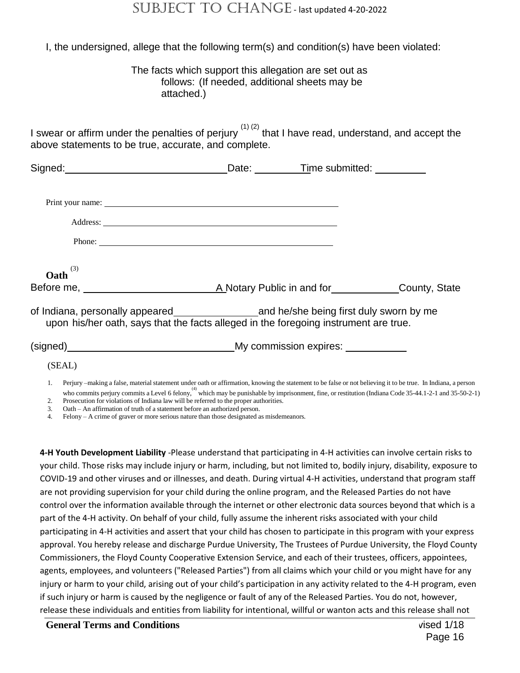I, the undersigned, allege that the following term(s) and condition(s) have been violated:

#### The facts which support this allegation are set out as follows: (If needed, additional sheets may be attached.)

I swear or affirm under the penalties of perjury  $(1)$  (2) that I have read, understand, and accept the above statements to be true, accurate, and complete.

|                                                                                            |                                                                                                                                                                                                                                                                                                                       | Date: Time submitted: _________ |
|--------------------------------------------------------------------------------------------|-----------------------------------------------------------------------------------------------------------------------------------------------------------------------------------------------------------------------------------------------------------------------------------------------------------------------|---------------------------------|
|                                                                                            | Print your name: Department of the contract of the contract of the contract of the contract of the contract of the contract of the contract of the contract of the contract of the contract of the contract of the contract of                                                                                        |                                 |
|                                                                                            | Address: <u>Address:</u> Address: <b>Address:</b> Address: <b>Address:</b> Address: <b>Address:</b> Address: <b>Address:</b> Address: <b>Address:</b> Address: <b>Address:</b> Address: <b>Address:</b> Address: <b>Address:</b> Address: <b>Address: Address: Address: Addre</b>                                     |                                 |
|                                                                                            | Phone: $\frac{1}{2}$ $\frac{1}{2}$ $\frac{1}{2}$ $\frac{1}{2}$ $\frac{1}{2}$ $\frac{1}{2}$ $\frac{1}{2}$ $\frac{1}{2}$ $\frac{1}{2}$ $\frac{1}{2}$ $\frac{1}{2}$ $\frac{1}{2}$ $\frac{1}{2}$ $\frac{1}{2}$ $\frac{1}{2}$ $\frac{1}{2}$ $\frac{1}{2}$ $\frac{1}{2}$ $\frac{1}{2}$ $\frac{1}{2}$ $\frac{1}{2}$ $\frac{$ |                                 |
| (3)<br>Oath                                                                                |                                                                                                                                                                                                                                                                                                                       |                                 |
| Before me, <u>the annual and A</u> Notary Public in and for <b>Example 2</b> County, State |                                                                                                                                                                                                                                                                                                                       |                                 |
|                                                                                            | upon his/her oath, says that the facts alleged in the foregoing instrument are true.                                                                                                                                                                                                                                  |                                 |
| (signed) My commission expires:                                                            |                                                                                                                                                                                                                                                                                                                       |                                 |
| (SEAL)                                                                                     |                                                                                                                                                                                                                                                                                                                       |                                 |

1. Perjury –making a false, material statement under oath or affirmation, knowing the statement to be false or not believing it to be true. In Indiana, a person who commits perjury commits a Level 6 felony, which may be punishable by imprisonment, fine, or restitution (Indiana Code 35-44.1-2-1 and 35-50-2-1) 2. Prosecution for violations of Indiana law will be referred to the proper authorities.

3. Oath – An affirmation of truth of a statement before an authorized person.

4. Felony – A crime of graver or more serious nature than those designated as misdemeanors.

**4-H Youth Development Liability** -Please understand that participating in 4-H activities can involve certain risks to your child. Those risks may include injury or harm, including, but not limited to, bodily injury, disability, exposure to COVID-19 and other viruses and or illnesses, and death. During virtual 4-H activities, understand that program staff are not providing supervision for your child during the online program, and the Released Parties do not have control over the information available through the internet or other electronic data sources beyond that which is a part of the 4-H activity. On behalf of your child, fully assume the inherent risks associated with your child participating in 4-H activities and assert that your child has chosen to participate in this program with your express approval. You hereby release and discharge Purdue University, The Trustees of Purdue University, the Floyd County Commissioners, the Floyd County Cooperative Extension Service, and each of their trustees, officers, appointees, agents, employees, and volunteers ("Released Parties") from all claims which your child or you might have for any injury or harm to your child, arising out of your child's participation in any activity related to the 4-H program, even if such injury or harm is caused by the negligence or fault of any of the Released Parties. You do not, however, release these individuals and entities from liability for intentional, willful or wanton acts and this release shall not

**General Terms and Conditions** Revised 1/18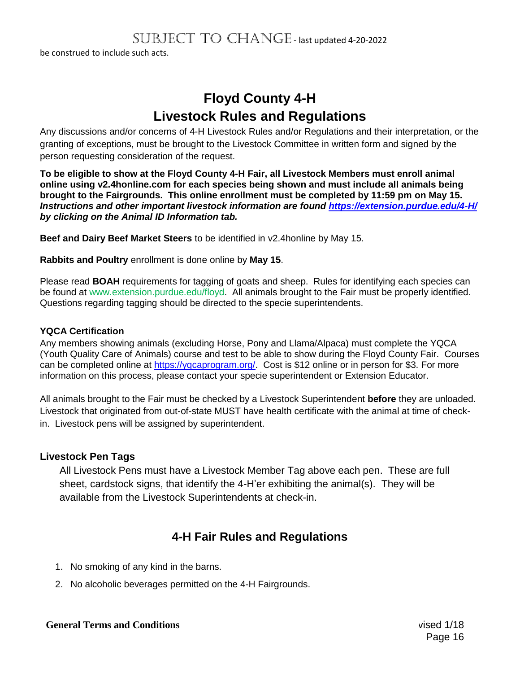be construed to include such acts.

# **Floyd County 4-H Livestock Rules and Regulations**

Any discussions and/or concerns of 4-H Livestock Rules and/or Regulations and their interpretation, or the granting of exceptions, must be brought to the Livestock Committee in written form and signed by the person requesting consideration of the request.

**To be eligible to show at the Floyd County 4-H Fair, all Livestock Members must enroll animal online using v2.4honline.com for each species being shown and must include all animals being brought to the Fairgrounds. This online enrollment must be completed by 11:59 pm on May 15.** *Instructions and other important livestock information are found<https://extension.purdue.edu/4-H/> by clicking on the Animal ID Information tab.*

**Beef and Dairy Beef Market Steers** to be identified in v2.4honline by May 15.

**Rabbits and Poultry** enrollment is done online by **May 15**.

Please read **BOAH** requirements for tagging of goats and sheep. Rules for identifying each species can be found at www.extension.purdue.edu/floyd. All animals brought to the Fair must be properly identified. Questions regarding tagging should be directed to the specie superintendents.

#### **YQCA Certification**

Any members showing animals (excluding Horse, Pony and Llama/Alpaca) must complete the YQCA (Youth Quality Care of Animals) course and test to be able to show during the Floyd County Fair. Courses can be completed online at [https://yqcaprogram.org/.](https://yqcaprogram.org/) Cost is \$12 online or in person for \$3. For more information on this process, please contact your specie superintendent or Extension Educator.

All animals brought to the Fair must be checked by a Livestock Superintendent **before** they are unloaded. Livestock that originated from out-of-state MUST have health certificate with the animal at time of checkin. Livestock pens will be assigned by superintendent.

#### **Livestock Pen Tags**

All Livestock Pens must have a Livestock Member Tag above each pen. These are full sheet, cardstock signs, that identify the 4-H'er exhibiting the animal(s). They will be available from the Livestock Superintendents at check-in.

### **4-H Fair Rules and Regulations**

- 1. No smoking of any kind in the barns.
- 2. No alcoholic beverages permitted on the 4-H Fairgrounds.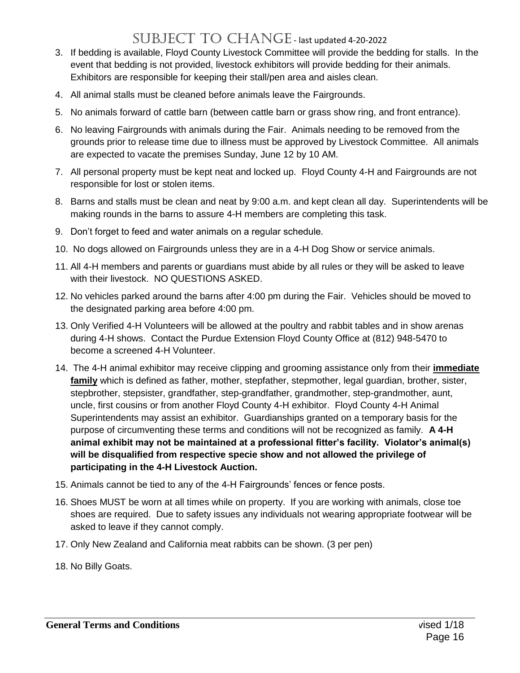- 3. If bedding is available, Floyd County Livestock Committee will provide the bedding for stalls. In the event that bedding is not provided, livestock exhibitors will provide bedding for their animals. Exhibitors are responsible for keeping their stall/pen area and aisles clean.
- 4. All animal stalls must be cleaned before animals leave the Fairgrounds.
- 5. No animals forward of cattle barn (between cattle barn or grass show ring, and front entrance).
- 6. No leaving Fairgrounds with animals during the Fair. Animals needing to be removed from the grounds prior to release time due to illness must be approved by Livestock Committee. All animals are expected to vacate the premises Sunday, June 12 by 10 AM.
- 7. All personal property must be kept neat and locked up. Floyd County 4-H and Fairgrounds are not responsible for lost or stolen items.
- 8. Barns and stalls must be clean and neat by 9:00 a.m. and kept clean all day. Superintendents will be making rounds in the barns to assure 4-H members are completing this task.
- 9. Don't forget to feed and water animals on a regular schedule.
- 10. No dogs allowed on Fairgrounds unless they are in a 4-H Dog Show or service animals.
- 11. All 4-H members and parents or guardians must abide by all rules or they will be asked to leave with their livestock. NO QUESTIONS ASKED.
- 12. No vehicles parked around the barns after 4:00 pm during the Fair. Vehicles should be moved to the designated parking area before 4:00 pm.
- 13. Only Verified 4-H Volunteers will be allowed at the poultry and rabbit tables and in show arenas during 4-H shows. Contact the Purdue Extension Floyd County Office at (812) 948-5470 to become a screened 4-H Volunteer.
- 14. The 4-H animal exhibitor may receive clipping and grooming assistance only from their **immediate family** which is defined as father, mother, stepfather, stepmother, legal guardian, brother, sister, stepbrother, stepsister, grandfather, step-grandfather, grandmother, step-grandmother, aunt, uncle, first cousins or from another Floyd County 4-H exhibitor. Floyd County 4-H Animal Superintendents may assist an exhibitor. Guardianships granted on a temporary basis for the purpose of circumventing these terms and conditions will not be recognized as family. **A 4-H animal exhibit may not be maintained at a professional fitter's facility. Violator's animal(s) will be disqualified from respective specie show and not allowed the privilege of participating in the 4-H Livestock Auction.**
- 15. Animals cannot be tied to any of the 4-H Fairgrounds' fences or fence posts.
- 16. Shoes MUST be worn at all times while on property. If you are working with animals, close toe shoes are required. Due to safety issues any individuals not wearing appropriate footwear will be asked to leave if they cannot comply.
- 17. Only New Zealand and California meat rabbits can be shown. (3 per pen)
- 18. No Billy Goats.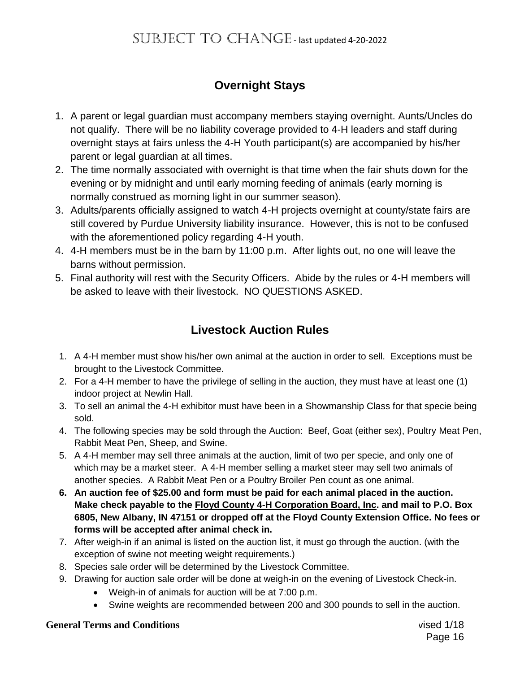### **Overnight Stays**

- 1. A parent or legal guardian must accompany members staying overnight. Aunts/Uncles do not qualify. There will be no liability coverage provided to 4-H leaders and staff during overnight stays at fairs unless the 4-H Youth participant(s) are accompanied by his/her parent or legal guardian at all times.
- 2. The time normally associated with overnight is that time when the fair shuts down for the evening or by midnight and until early morning feeding of animals (early morning is normally construed as morning light in our summer season).
- 3. Adults/parents officially assigned to watch 4-H projects overnight at county/state fairs are still covered by Purdue University liability insurance. However, this is not to be confused with the aforementioned policy regarding 4-H youth.
- 4. 4-H members must be in the barn by 11:00 p.m. After lights out, no one will leave the barns without permission.
- 5. Final authority will rest with the Security Officers. Abide by the rules or 4-H members will be asked to leave with their livestock. NO QUESTIONS ASKED.

### **Livestock Auction Rules**

- 1. A 4-H member must show his/her own animal at the auction in order to sell. Exceptions must be brought to the Livestock Committee.
- 2. For a 4-H member to have the privilege of selling in the auction, they must have at least one (1) indoor project at Newlin Hall.
- 3. To sell an animal the 4-H exhibitor must have been in a Showmanship Class for that specie being sold.
- 4. The following species may be sold through the Auction: Beef, Goat (either sex), Poultry Meat Pen, Rabbit Meat Pen, Sheep, and Swine.
- 5. A 4-H member may sell three animals at the auction, limit of two per specie, and only one of which may be a market steer. A 4-H member selling a market steer may sell two animals of another species. A Rabbit Meat Pen or a Poultry Broiler Pen count as one animal.
- **6. An auction fee of \$25.00 and form must be paid for each animal placed in the auction. Make check payable to the Floyd County 4-H Corporation Board, Inc. and mail to P.O. Box 6805, New Albany, IN 47151 or dropped off at the Floyd County Extension Office. No fees or forms will be accepted after animal check in.**
- 7. After weigh-in if an animal is listed on the auction list, it must go through the auction. (with the exception of swine not meeting weight requirements.)
- 8. Species sale order will be determined by the Livestock Committee.
- 9. Drawing for auction sale order will be done at weigh-in on the evening of Livestock Check-in.
	- Weigh-in of animals for auction will be at 7:00 p.m.
	- Swine weights are recommended between 200 and 300 pounds to sell in the auction.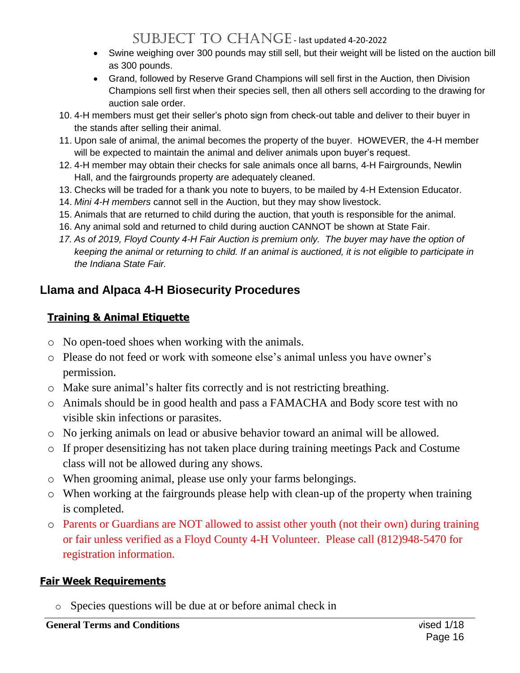- Swine weighing over 300 pounds may still sell, but their weight will be listed on the auction bill as 300 pounds.
- Grand, followed by Reserve Grand Champions will sell first in the Auction, then Division Champions sell first when their species sell, then all others sell according to the drawing for auction sale order.
- 10. 4-H members must get their seller's photo sign from check-out table and deliver to their buyer in the stands after selling their animal.
- 11. Upon sale of animal, the animal becomes the property of the buyer. HOWEVER, the 4-H member will be expected to maintain the animal and deliver animals upon buyer's request.
- 12. 4-H member may obtain their checks for sale animals once all barns, 4-H Fairgrounds, Newlin Hall, and the fairgrounds property are adequately cleaned.
- 13. Checks will be traded for a thank you note to buyers, to be mailed by 4-H Extension Educator.
- 14. *Mini 4-H members* cannot sell in the Auction, but they may show livestock.
- 15. Animals that are returned to child during the auction, that youth is responsible for the animal.
- 16. Any animal sold and returned to child during auction CANNOT be shown at State Fair.
- *17. As of 2019, Floyd County 4-H Fair Auction is premium only. The buyer may have the option of keeping the animal or returning to child. If an animal is auctioned, it is not eligible to participate in the Indiana State Fair.*

### **Llama and Alpaca 4-H Biosecurity Procedures**

### **Training & Animal Etiquette**

- o No open-toed shoes when working with the animals.
- o Please do not feed or work with someone else's animal unless you have owner's permission.
- o Make sure animal's halter fits correctly and is not restricting breathing.
- o Animals should be in good health and pass a FAMACHA and Body score test with no visible skin infections or parasites.
- o No jerking animals on lead or abusive behavior toward an animal will be allowed.
- o If proper desensitizing has not taken place during training meetings Pack and Costume class will not be allowed during any shows.
- o When grooming animal, please use only your farms belongings.
- o When working at the fairgrounds please help with clean-up of the property when training is completed.
- o Parents or Guardians are NOT allowed to assist other youth (not their own) during training or fair unless verified as a Floyd County 4-H Volunteer. Please call (812)948-5470 for registration information.

### **Fair Week Requirements**

o Species questions will be due at or before animal check in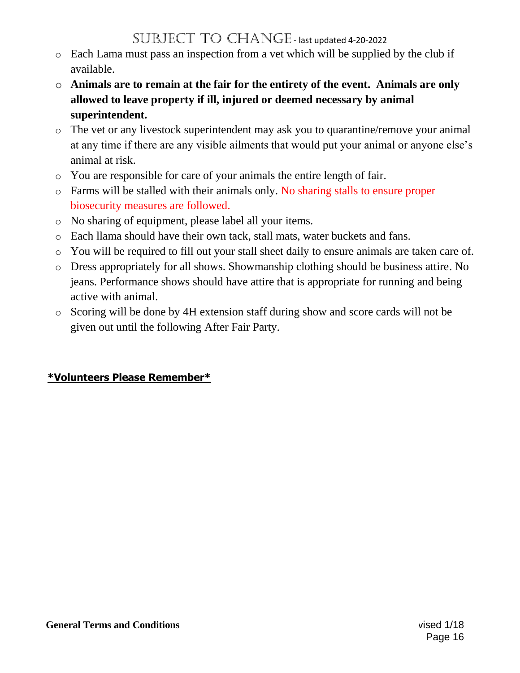- o Each Lama must pass an inspection from a vet which will be supplied by the club if available.
- o **Animals are to remain at the fair for the entirety of the event. Animals are only allowed to leave property if ill, injured or deemed necessary by animal superintendent.**
- o The vet or any livestock superintendent may ask you to quarantine/remove your animal at any time if there are any visible ailments that would put your animal or anyone else's animal at risk.
- o You are responsible for care of your animals the entire length of fair.
- o Farms will be stalled with their animals only. No sharing stalls to ensure proper biosecurity measures are followed.
- o No sharing of equipment, please label all your items.
- o Each llama should have their own tack, stall mats, water buckets and fans.
- o You will be required to fill out your stall sheet daily to ensure animals are taken care of.
- o Dress appropriately for all shows. Showmanship clothing should be business attire. No jeans. Performance shows should have attire that is appropriate for running and being active with animal.
- o Scoring will be done by 4H extension staff during show and score cards will not be given out until the following After Fair Party.

### **\*Volunteers Please Remember\***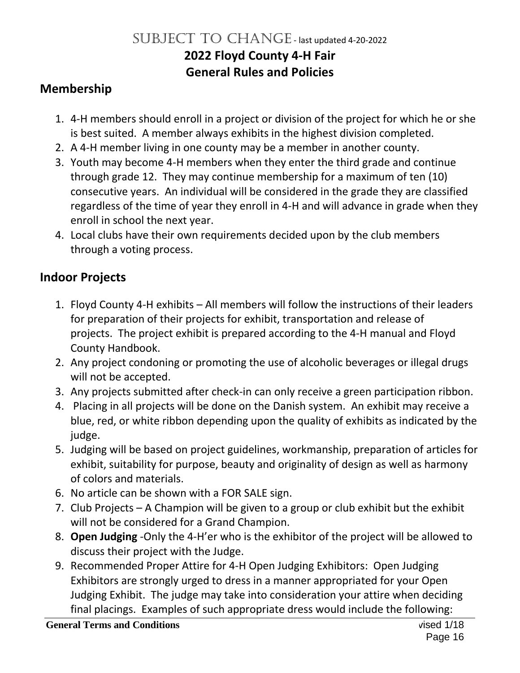# SUBJECT TO CHANGE - last updated 4-20-2022 **2022 Floyd County 4-H Fair General Rules and Policies**

### **Membership**

- 1. 4-H members should enroll in a project or division of the project for which he or she is best suited. A member always exhibits in the highest division completed.
- 2. A 4-H member living in one county may be a member in another county.
- 3. Youth may become 4-H members when they enter the third grade and continue through grade 12. They may continue membership for a maximum of ten (10) consecutive years. An individual will be considered in the grade they are classified regardless of the time of year they enroll in 4-H and will advance in grade when they enroll in school the next year.
- 4. Local clubs have their own requirements decided upon by the club members through a voting process.

### **Indoor Projects**

- 1. Floyd County 4-H exhibits All members will follow the instructions of their leaders for preparation of their projects for exhibit, transportation and release of projects. The project exhibit is prepared according to the 4-H manual and Floyd County Handbook.
- 2. Any project condoning or promoting the use of alcoholic beverages or illegal drugs will not be accepted.
- 3. Any projects submitted after check-in can only receive a green participation ribbon.
- 4. Placing in all projects will be done on the Danish system. An exhibit may receive a blue, red, or white ribbon depending upon the quality of exhibits as indicated by the judge.
- 5. Judging will be based on project guidelines, workmanship, preparation of articles for exhibit, suitability for purpose, beauty and originality of design as well as harmony of colors and materials.
- 6. No article can be shown with a FOR SALE sign.
- 7. Club Projects A Champion will be given to a group or club exhibit but the exhibit will not be considered for a Grand Champion.
- 8. **Open Judging** -Only the 4-H'er who is the exhibitor of the project will be allowed to discuss their project with the Judge.
- 9. Recommended Proper Attire for 4-H Open Judging Exhibitors: Open Judging Exhibitors are strongly urged to dress in a manner appropriated for your Open Judging Exhibit. The judge may take into consideration your attire when deciding final placings. Examples of such appropriate dress would include the following: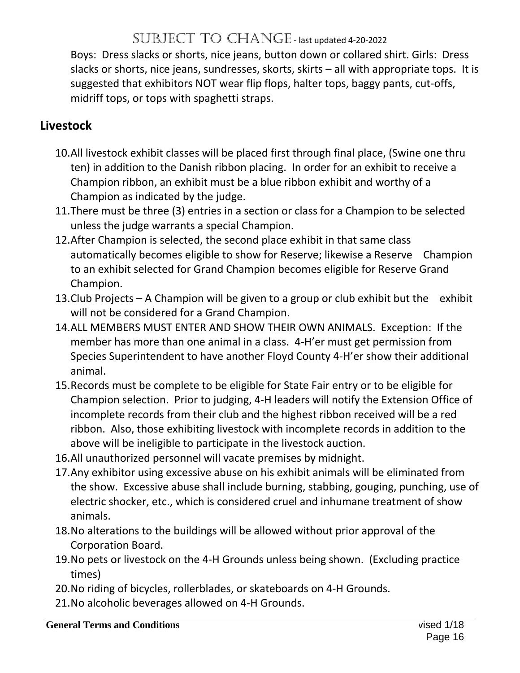Boys: Dress slacks or shorts, nice jeans, button down or collared shirt. Girls: Dress slacks or shorts, nice jeans, sundresses, skorts, skirts – all with appropriate tops. It is suggested that exhibitors NOT wear flip flops, halter tops, baggy pants, cut-offs, midriff tops, or tops with spaghetti straps.

### **Livestock**

- 10.All livestock exhibit classes will be placed first through final place, (Swine one thru ten) in addition to the Danish ribbon placing. In order for an exhibit to receive a Champion ribbon, an exhibit must be a blue ribbon exhibit and worthy of a Champion as indicated by the judge.
- 11.There must be three (3) entries in a section or class for a Champion to be selected unless the judge warrants a special Champion.
- 12.After Champion is selected, the second place exhibit in that same class automatically becomes eligible to show for Reserve; likewise a Reserve Champion to an exhibit selected for Grand Champion becomes eligible for Reserve Grand Champion.
- 13.Club Projects A Champion will be given to a group or club exhibit but the exhibit will not be considered for a Grand Champion.
- 14.ALL MEMBERS MUST ENTER AND SHOW THEIR OWN ANIMALS. Exception: If the member has more than one animal in a class. 4-H'er must get permission from Species Superintendent to have another Floyd County 4-H'er show their additional animal.
- 15.Records must be complete to be eligible for State Fair entry or to be eligible for Champion selection. Prior to judging, 4-H leaders will notify the Extension Office of incomplete records from their club and the highest ribbon received will be a red ribbon. Also, those exhibiting livestock with incomplete records in addition to the above will be ineligible to participate in the livestock auction.
- 16.All unauthorized personnel will vacate premises by midnight.
- 17.Any exhibitor using excessive abuse on his exhibit animals will be eliminated from the show. Excessive abuse shall include burning, stabbing, gouging, punching, use of electric shocker, etc., which is considered cruel and inhumane treatment of show animals.
- 18.No alterations to the buildings will be allowed without prior approval of the Corporation Board.
- 19.No pets or livestock on the 4-H Grounds unless being shown. (Excluding practice times)
- 20.No riding of bicycles, rollerblades, or skateboards on 4-H Grounds.
- 21.No alcoholic beverages allowed on 4-H Grounds.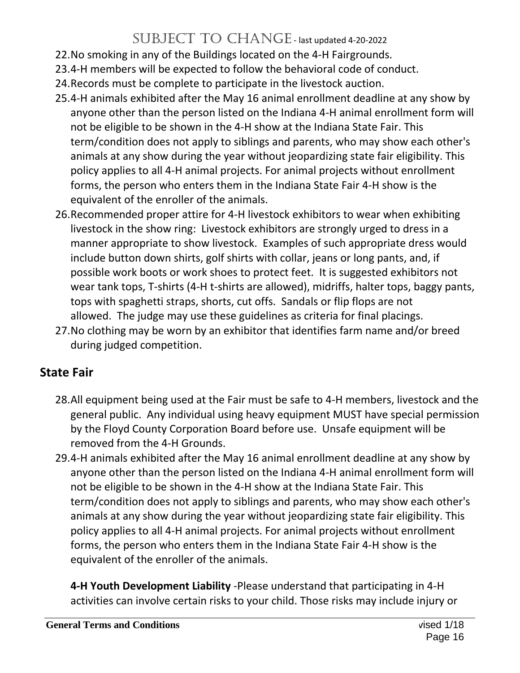- 22.No smoking in any of the Buildings located on the 4-H Fairgrounds.
- 23.4-H members will be expected to follow the behavioral code of conduct.
- 24.Records must be complete to participate in the livestock auction.
- 25.4-H animals exhibited after the May 16 animal enrollment deadline at any show by anyone other than the person listed on the Indiana 4-H animal enrollment form will not be eligible to be shown in the 4-H show at the Indiana State Fair. This term/condition does not apply to siblings and parents, who may show each other's animals at any show during the year without jeopardizing state fair eligibility. This policy applies to all 4-H animal projects. For animal projects without enrollment forms, the person who enters them in the Indiana State Fair 4-H show is the equivalent of the enroller of the animals.
- 26.Recommended proper attire for 4-H livestock exhibitors to wear when exhibiting livestock in the show ring: Livestock exhibitors are strongly urged to dress in a manner appropriate to show livestock. Examples of such appropriate dress would include button down shirts, golf shirts with collar, jeans or long pants, and, if possible work boots or work shoes to protect feet. It is suggested exhibitors not wear tank tops, T-shirts (4-H t-shirts are allowed), midriffs, halter tops, baggy pants, tops with spaghetti straps, shorts, cut offs. Sandals or flip flops are not allowed. The judge may use these guidelines as criteria for final placings.
- 27.No clothing may be worn by an exhibitor that identifies farm name and/or breed during judged competition.

# **State Fair**

- 28.All equipment being used at the Fair must be safe to 4-H members, livestock and the general public. Any individual using heavy equipment MUST have special permission by the Floyd County Corporation Board before use. Unsafe equipment will be removed from the 4-H Grounds.
- 29.4-H animals exhibited after the May 16 animal enrollment deadline at any show by anyone other than the person listed on the Indiana 4-H animal enrollment form will not be eligible to be shown in the 4-H show at the Indiana State Fair. This term/condition does not apply to siblings and parents, who may show each other's animals at any show during the year without jeopardizing state fair eligibility. This policy applies to all 4-H animal projects. For animal projects without enrollment forms, the person who enters them in the Indiana State Fair 4-H show is the equivalent of the enroller of the animals.

**4-H Youth Development Liability** -Please understand that participating in 4-H activities can involve certain risks to your child. Those risks may include injury or